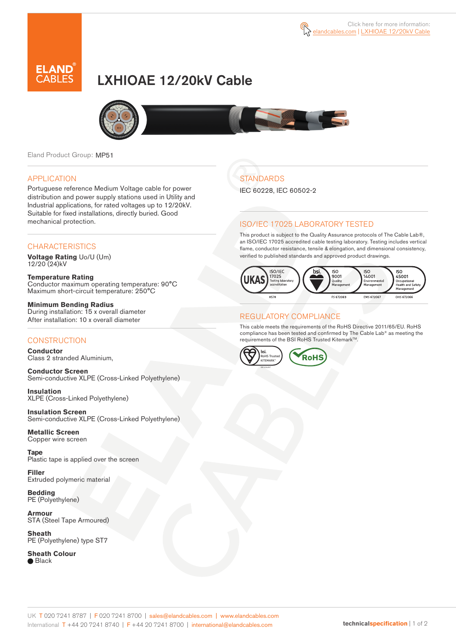

# LXHIOAE 12/20kV Cable



Eland Product Group: MP51

### APPLICATION

Portuguese reference Medium Voltage cable for power distribution and power supply stations used in Utility and Industrial applications, for rated voltages up to 12/20kV. Suitable for fixed installations, directly buried. Good mechanical protection.

### **CHARACTERISTICS**

**Voltage Rating** Uo/U (Um) 12/20 (24)kV

**Temperature Rating** Conductor maximum operating temperature: 90°C Maximum short-circuit temperature: 250°C

**Minimum Bending Radius** During installation: 15 x overall diameter After installation: 10 x overall diameter

### **CONSTRUCTION**

**Conductor**  Class 2 stranded Aluminium,

**Conductor Screen** Semi-conductive XLPE (Cross-Linked Polyethylene)

**Insulation** XLPE (Cross-Linked Polyethylene)

**Insulation Screen** Semi-conductive XLPE (Cross-Linked Polyethylene)

**Metallic Screen**  Copper wire screen

**Tape**  Plastic tape is applied over the screen

**Filler** Extruded polymeric material

**Bedding** PE (Polyethylene)

**Armour** STA (Steel Tape Armoured)

**Sheath** PE (Polyethylene) type ST7

**Sheath Colour ■** Black

# **STANDARDS**

IEC 60228, IEC 60502-2

### ISO/IEC 17025 LABORATORY TESTED

This product is subject to the Quality Assurance protocols of The Cable Lab®, an ISO/IEC 17025 accredited cable testing laboratory. Testing includes vertical flame, conductor resistance, tensile & elongation, and dimensional consistency, verified to published standards and approved product drawings.



#### REGULATORY COMPLIANCE

This cable meets the requirements of the RoHS Directive 2011/65/EU. RoHS compliance has been tested and confirmed by The Cable Lab® as meeting the requirements of the BSI RoHS Trusted Kitemark™.